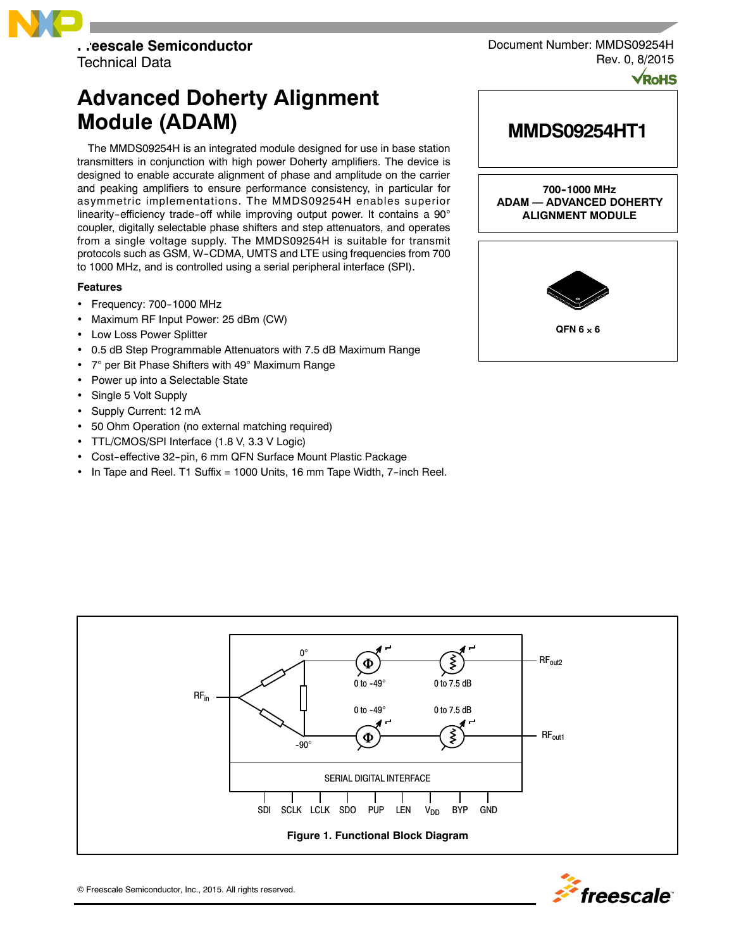

Technical Data

# **Advanced Doherty Alignment Module (ADAM)**

The MMDS09254H is an integrated module designed for use in base station transmitters in conjunction with high power Doherty amplifiers. The device is designed to enable accurate alignment of phase and amplitude on the carrier and peaking amplifiers to ensure performance consistency, in particular for asymmetric implementations. The MMDS09254H enables superior linearity-efficiency trade-off while improving output power. It contains a  $90^\circ$ coupler, digitally selectable phase shifters and step attenuators, and operates from a single voltage supply. The MMDS09254H is suitable for transmit protocols such as GSM, W-CDMA, UMTS and LTE using frequencies from 700 to 1000 MHz, and is controlled using a serial peripheral interface (SPI).

### **Features**

- $\cdot$  Frequency: 700-1000 MHz
- Maximum RF Input Power: 25 dBm (CW)
- Low Loss Power Splitter
- 0.5 dB Step Programmable Attenuators with 7.5 dB Maximum Range
- 7° per Bit Phase Shifters with 49° Maximum Range
- Power up into a Selectable State
- Single 5 Volt Supply
- Supply Current: 12 mA
- 50 Ohm Operation (no external matching required)
- TTL/CMOS/SPI Interface (1.8 V, 3.3 V Logic)
- Cost-effective 32-pin, 6 mm QFN Surface Mount Plastic Package
- In Tape and Reel. T1 Suffix = 1000 Units, 16 mm Tape Width, 7-inch Reel.



**MMDS09254HT1**

Document Number: MMDS09254H

**700--1000 MHz ADAM — ADVANCED DOHERTY ALIGNMENT MODULE**





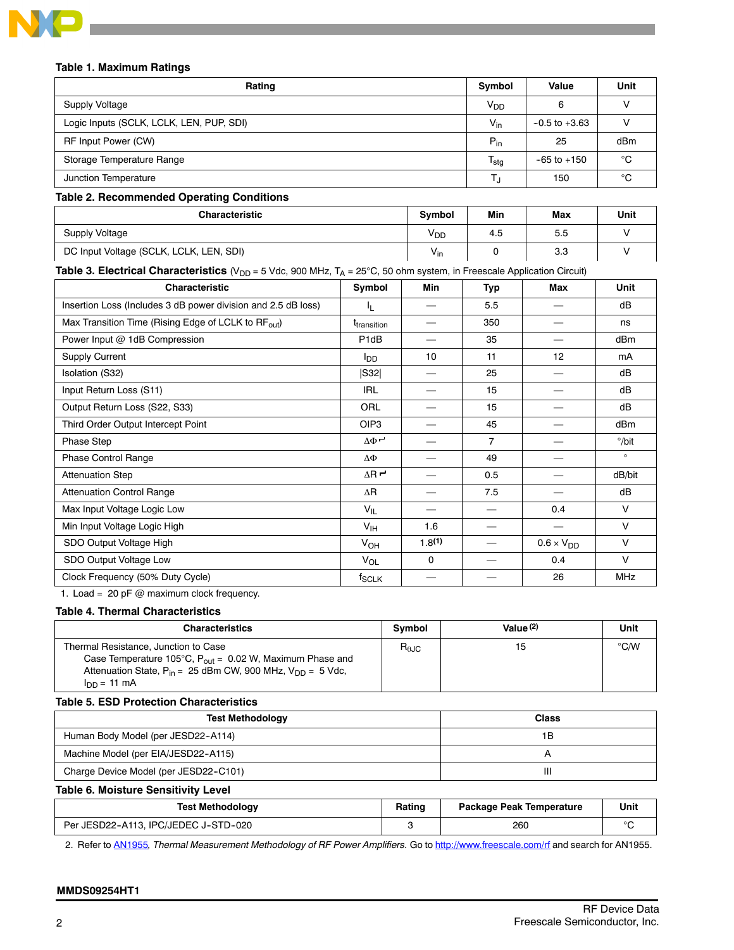

#### **Table 1. Maximum Ratings**

| Rating                                         | Symbol                    | Value             | Unit |
|------------------------------------------------|---------------------------|-------------------|------|
| Supply Voltage                                 | <b>V<sub>DD</sub></b>     |                   |      |
| Logic Inputs (SCLK, LCLK, LEN, PUP, SDI)       | $V_{\text{in}}$           | $-0.5$ to $+3.63$ |      |
| RF Input Power (CW)                            | $P_{in}$                  | 25                | dBm  |
| Storage Temperature Range                      | $\mathsf{T_{\text{stg}}}$ | $-65$ to $+150$   | °C   |
| Junction Temperature                           |                           | 150               | °C   |
| Table A. Because and ad American Associations. |                           |                   |      |

#### **Table 2. Recommended Operating Conditions**

| <b>Characteristic</b>                   | <b>Symbol</b>   | Min | Max | Unit |
|-----------------------------------------|-----------------|-----|-----|------|
| <b>Supply Voltage</b>                   | YDD             | 4.5 | 5.5 |      |
| DC Input Voltage (SCLK, LCLK, LEN, SDI) | $V_{\text{in}}$ |     | 3.3 |      |

## **Table 3. Electrical Characteristics** (V<sub>DD</sub> = 5 Vdc, 900 MHz, T<sub>A</sub> = 25°C, 50 ohm system, in Freescale Application Circuit)

| <b>Characteristic</b>                                           | Symbol                  | Min      | <b>Typ</b>     | Max                 | Unit            |
|-----------------------------------------------------------------|-------------------------|----------|----------------|---------------------|-----------------|
| Insertion Loss (Includes 3 dB power division and 2.5 dB loss)   | IL.                     | —        | 5.5            |                     | dB              |
| Max Transition Time (Rising Edge of LCLK to RF <sub>out</sub> ) | t <sub>transition</sub> |          | 350            |                     | ns              |
| Power Input @ 1dB Compression                                   | P <sub>1</sub> dB       |          | 35             |                     | dB <sub>m</sub> |
| <b>Supply Current</b>                                           | l <sub>DD</sub>         | 10       | 11             | 12                  | mA              |
| Isolation (S32)                                                 | S32                     |          | 25             |                     | dB              |
| Input Return Loss (S11)                                         | <b>IRL</b>              |          | 15             |                     | dB              |
| Output Return Loss (S22, S33)                                   | ORL                     |          | 15             |                     | dB              |
| Third Order Output Intercept Point                              | OIP <sub>3</sub>        |          | 45             |                     | dB <sub>m</sub> |
| Phase Step                                                      | $\Delta \Phi$ r         |          | $\overline{7}$ |                     | $^{\circ}/$ bit |
| Phase Control Range                                             | ΔΦ                      |          | 49             |                     | $\circ$         |
| <b>Attenuation Step</b>                                         | $\Delta$ R $\sim$       |          | 0.5            |                     | dB/bit          |
| <b>Attenuation Control Range</b>                                | $\Delta$ R              |          | 7.5            |                     | dB              |
| Max Input Voltage Logic Low                                     | $V_{IL}$                |          |                | 0.4                 | $\vee$          |
| Min Input Voltage Logic High                                    | $V_{\text{IH}}$         | 1.6      |                |                     | $\vee$          |
| SDO Output Voltage High                                         | $V_{OH}$                | 1.8(1)   | $\sim$         | $0.6 \times V_{DD}$ | $\vee$          |
| SDO Output Voltage Low                                          | V <sub>OL</sub>         | $\Omega$ |                | 0.4                 | $\vee$          |
| Clock Frequency (50% Duty Cycle)                                | $f_{\mathsf{SCLK}}$     |          |                | 26                  | <b>MHz</b>      |

1. Load = 20 pF  $@$  maximum clock frequency.

#### **Table 4. Thermal Characteristics**

| <b>Characteristics</b>                                                                                                                                                       | <b>Symbol</b> | Value $(2)$ | Unit          |
|------------------------------------------------------------------------------------------------------------------------------------------------------------------------------|---------------|-------------|---------------|
| Thermal Resistance, Junction to Case<br>Case Temperature 105°C, $P_{out} = 0.02$ W, Maximum Phase and<br>Attenuation State, $P_{in} = 25$ dBm CW, 900 MHz, $V_{DD} = 5$ Vdc, | $R_{0,IC}$    | 15          | $\degree$ C/W |
| $I_{DD} = 11$ mA                                                                                                                                                             |               |             |               |

## **Table 5. ESD Protection Characteristics**

| <b>Test Methodology</b>               | <b>Class</b> |
|---------------------------------------|--------------|
| Human Body Model (per JESD22-A114)    | ١B           |
| Machine Model (per EIA/JESD22-A115)   |              |
| Charge Device Model (per JESD22-C101) | Ш            |

**Table 6. Moisture Sensitivity Level**

| <b>Test Methodology</b>              | <b>Package Peak Temperature</b><br><b>Rating</b> |     | Unit |
|--------------------------------------|--------------------------------------------------|-----|------|
| Per JESD22-A113. IPC/JEDEC J-STD-020 |                                                  | 260 |      |

2. Refer to AN1955*, Thermal Measurement Methodology of RF Power Amplifiers.* Go to http://www.freescale.com/rf and search for AN1955.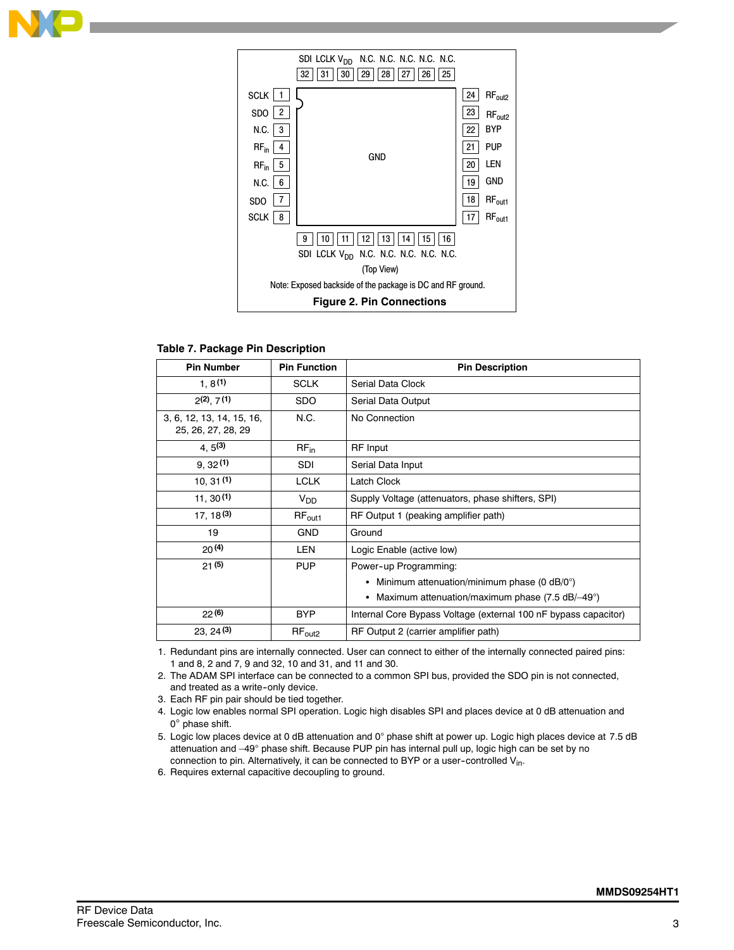



#### **Table 7. Package Pin Description**

| <b>Pin Number</b>                               | <b>Pin Function</b> | <b>Pin Description</b>                                                |  |  |
|-------------------------------------------------|---------------------|-----------------------------------------------------------------------|--|--|
| 1.8(1)                                          | <b>SCLK</b>         | Serial Data Clock                                                     |  |  |
| $2(2)$ , $7(1)$                                 | <b>SDO</b>          | Serial Data Output                                                    |  |  |
| 3, 6, 12, 13, 14, 15, 16,<br>25, 26, 27, 28, 29 | N.C.                | No Connection                                                         |  |  |
| $4, 5^{(3)}$                                    | $RF_{in}$           | <b>RF</b> Input                                                       |  |  |
| 9,32(1)                                         | <b>SDI</b>          | Serial Data Input                                                     |  |  |
| 10, 31(1)                                       | <b>LCLK</b>         | Latch Clock                                                           |  |  |
| 11, 30(1)                                       | $V_{DD}$            | Supply Voltage (attenuators, phase shifters, SPI)                     |  |  |
| $17, 18^{(3)}$                                  | $RF_{\text{out1}}$  | RF Output 1 (peaking amplifier path)                                  |  |  |
| 19                                              | <b>GND</b>          | Ground                                                                |  |  |
| 20(4)                                           | <b>LEN</b>          | Logic Enable (active low)                                             |  |  |
| 21(5)                                           | <b>PUP</b>          | Power-up Programming:                                                 |  |  |
|                                                 |                     | Minimum attenuation/minimum phase (0 dB/0°)<br>٠                      |  |  |
|                                                 |                     | Maximum attenuation/maximum phase $(7.5 \text{ dB}/-49^{\circ})$<br>٠ |  |  |
| 22(6)                                           | <b>BYP</b>          | Internal Core Bypass Voltage (external 100 nF bypass capacitor)       |  |  |
| $23, 24^{(3)}$                                  | $RF_{out2}$         | RF Output 2 (carrier amplifier path)                                  |  |  |

1. Redundant pins are internally connected. User can connect to either of the internally connected paired pins: 1 and 8, 2 and 7, 9 and 32, 10 and 31, and 11 and 30.

2. The ADAM SPI interface can be connected to a common SPI bus, provided the SDO pin is not connected, and treated as a write-only device.

- 3. Each RF pin pair should be tied together.
- 4. Logic low enables normal SPI operation. Logic high disables SPI and places device at 0 dB attenuation and  $0^\circ$  phase shift.
- 5. Logic low places device at 0 dB attenuation and 0° phase shift at power up. Logic high places device at 7.5 dB attenuation and -49° phase shift. Because PUP pin has internal pull up, logic high can be set by no connection to pin. Alternatively, it can be connected to BYP or a user-controlled V<sub>in</sub>.
- 6. Requires external capacitive decoupling to ground.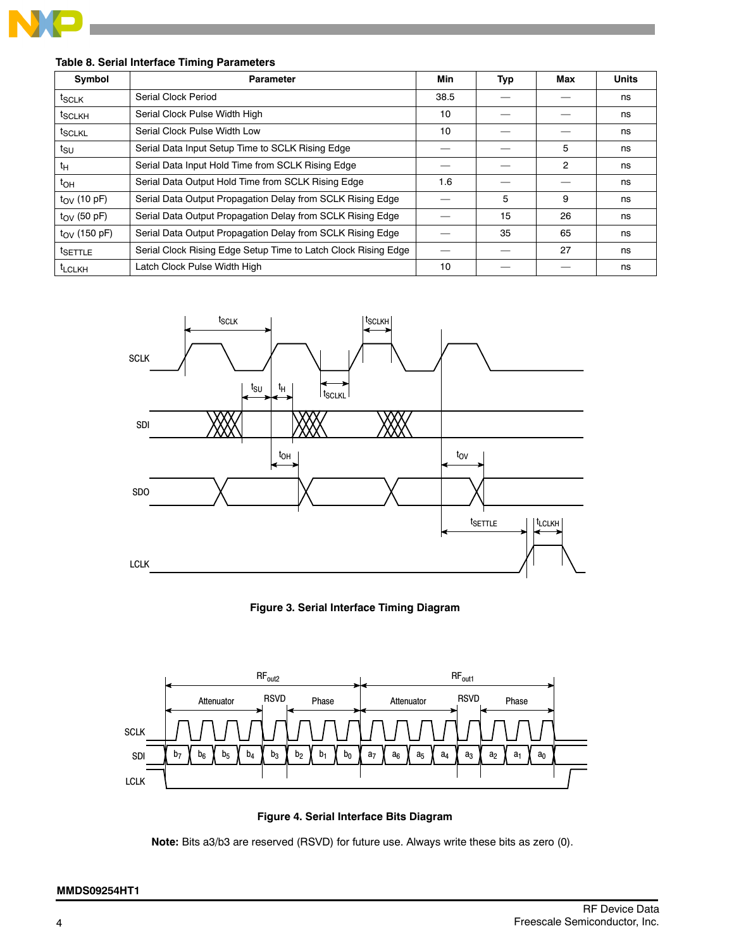

## **Table 8. Serial Interface Timing Parameters**

| Symbol                | <b>Parameter</b>                                               | Min  | Typ | Max | <b>Units</b> |
|-----------------------|----------------------------------------------------------------|------|-----|-----|--------------|
| $t_{SCLK}$            | Serial Clock Period                                            | 38.5 |     |     | ns           |
| t <sub>SCLKH</sub>    | Serial Clock Pulse Width High                                  | 10   |     |     | ns           |
| t <sub>SCLKL</sub>    | Serial Clock Pulse Width Low                                   | 10   |     |     | ns           |
| tsu                   | Serial Data Input Setup Time to SCLK Rising Edge               |      |     | 5   | ns           |
| tн                    | Serial Data Input Hold Time from SCLK Rising Edge              |      |     | 2   | ns           |
| $t_{OH}$              | Serial Data Output Hold Time from SCLK Rising Edge             | 1.6  |     |     | ns           |
| $t_{\rm OV}$ (10 pF)  | Serial Data Output Propagation Delay from SCLK Rising Edge     |      | 5   | 9   | ns           |
| $t_{\rm OV}$ (50 pF)  | Serial Data Output Propagation Delay from SCLK Rising Edge     |      | 15  | 26  | ns           |
| $t_{\rm OV}$ (150 pF) | Serial Data Output Propagation Delay from SCLK Rising Edge     |      | 35  | 65  | ns           |
| t <sub>SETTLE</sub>   | Serial Clock Rising Edge Setup Time to Latch Clock Rising Edge |      |     | 27  | ns           |
| <sup>t</sup> LCLKH    | Latch Clock Pulse Width High                                   | 10   |     |     | ns           |



**Figure 3. Serial Interface Timing Diagram**



**Figure 4. Serial Interface Bits Diagram**

**Note:** Bits a3/b3 are reserved (RSVD) for future use. Always write these bits as zero (0).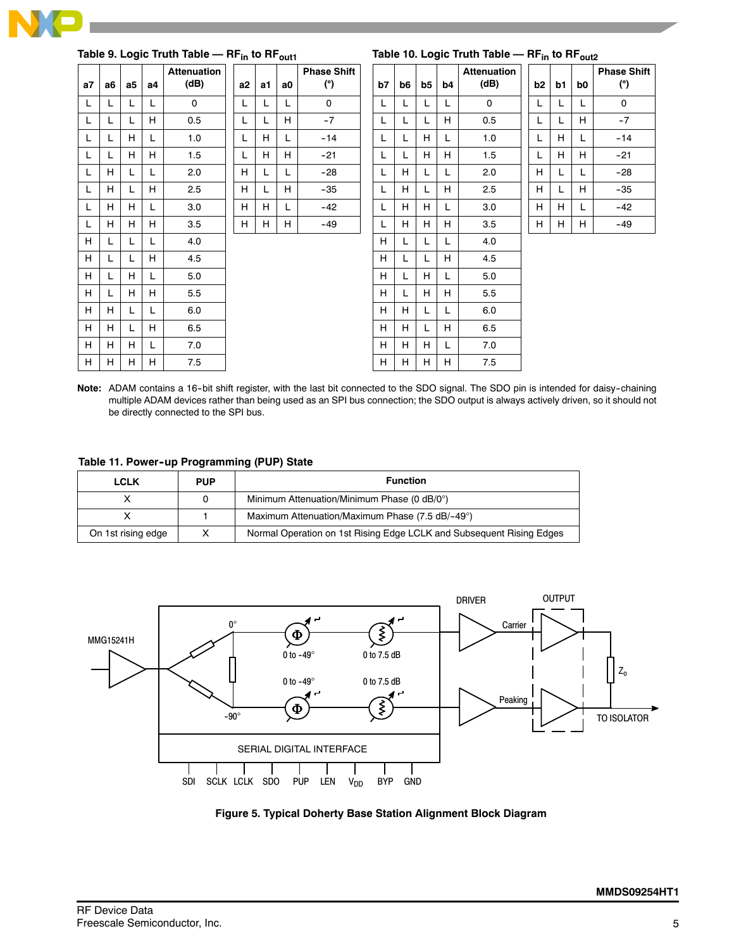

|    |    |                |    | Table 9. Logic Truth Table - RF <sub>in</sub> to RF <sub>out1</sub> |    |    |    |                           |    |    |    |    | Table 10. Logic Truth Table - RF <sub>in</sub> to RF <sub>out2</sub> |    |    |           |                           |
|----|----|----------------|----|---------------------------------------------------------------------|----|----|----|---------------------------|----|----|----|----|----------------------------------------------------------------------|----|----|-----------|---------------------------|
| a7 | a6 | a <sub>5</sub> | a4 | <b>Attenuation</b><br>(dB)                                          | a2 | a1 | a0 | <b>Phase Shift</b><br>(°) | b7 | b6 | b5 | b4 | <b>Attenuation</b><br>(dB)                                           | b2 | b1 | <b>b0</b> | <b>Phase Shift</b><br>(°) |
| L  | L. | L              | L  | $\mathbf{0}$                                                        | L  | L  | L. | $\mathbf 0$               | L  |    | L  | L  | $\mathbf 0$                                                          | L  | L  | L         | $\mathbf 0$               |
| L  | L  | L              | H  | 0.5                                                                 | L  | L  | H. | $-7$                      | L  |    | L  | H  | 0.5                                                                  | L  | L  | H         | $-7$                      |
| L  | L  | H              | L  | 1.0                                                                 | L  | H  | L. | $-14$                     | L  |    | H  | L  | 1.0                                                                  | L  | H  | L         | $-14$                     |
| L  | L  | H              | H  | 1.5                                                                 | L  | H  | H. | $-21$                     | L  |    | H  | H  | 1.5                                                                  | L  | H  | H         | $-21$                     |
| L  | H  | L              | L  | 2.0                                                                 | H  |    |    | $-28$                     | L  | H  | L  | L  | 2.0                                                                  | H  | L  | L         | $-28$                     |
| L  | H  | L              | H  | 2.5                                                                 | H  | L  | H. | $-35$                     | L  | H  | L  | H  | 2.5                                                                  | H  | L  | H         | $-35$                     |
| L  | H  | H              | L  | 3.0                                                                 | H  | H  | L. | $-42$                     | L  | H  | H  | L  | 3.0                                                                  | H  | H  | L         | $-42$                     |
| L  | H  | H              | H  | 3.5                                                                 | Н  | H  | H. | $-49$                     | L  | H  | H  | H  | 3.5                                                                  | H  | H. | H.        | $-49$                     |
| H  | L  | L              | L  | 4.0                                                                 |    |    |    |                           | H  |    | L  | L  | 4.0                                                                  |    |    |           |                           |
| H  | L  | L              | H  | 4.5                                                                 |    |    |    |                           | H  |    | L  | H  | 4.5                                                                  |    |    |           |                           |
| H  | L  | H              | L  | 5.0                                                                 |    |    |    |                           | H  |    | H  | L  | 5.0                                                                  |    |    |           |                           |
| H  | L  | H.             | H  | 5.5                                                                 |    |    |    |                           | H  |    | H  | H  | 5.5                                                                  |    |    |           |                           |
| H  | H  | L              | L  | 6.0                                                                 |    |    |    |                           | H  | н  | L  | L  | 6.0                                                                  |    |    |           |                           |
| H  | H  | L.             | H  | 6.5                                                                 |    |    |    |                           | H  | H  | L  | H  | 6.5                                                                  |    |    |           |                           |
| H  | H  | H              | L  | 7.0                                                                 |    |    |    |                           | H  | H  | H  | L  | 7.0                                                                  |    |    |           |                           |
| H  | H  | H              | H  | 7.5                                                                 |    |    |    |                           | H  | H. | H  | H  | 7.5                                                                  |    |    |           |                           |

Note: ADAM contains a 16-bit shift register, with the last bit connected to the SDO signal. The SDO pin is intended for daisy-chaining multiple ADAM devices rather than being used as an SPI bus connection; the SDO output is always actively driven, so it should not be directly connected to the SPI bus.

**Table 11. Power--up Programming (PUP) State**

| <b>LCLK</b>        | <b>PUP</b> | <b>Function</b>                                                      |
|--------------------|------------|----------------------------------------------------------------------|
|                    |            | Minimum Attenuation/Minimum Phase (0 dB/0°)                          |
|                    |            | Maximum Attenuation/Maximum Phase (7.5 dB/-49°)                      |
| On 1st rising edge |            | Normal Operation on 1st Rising Edge LCLK and Subsequent Rising Edges |



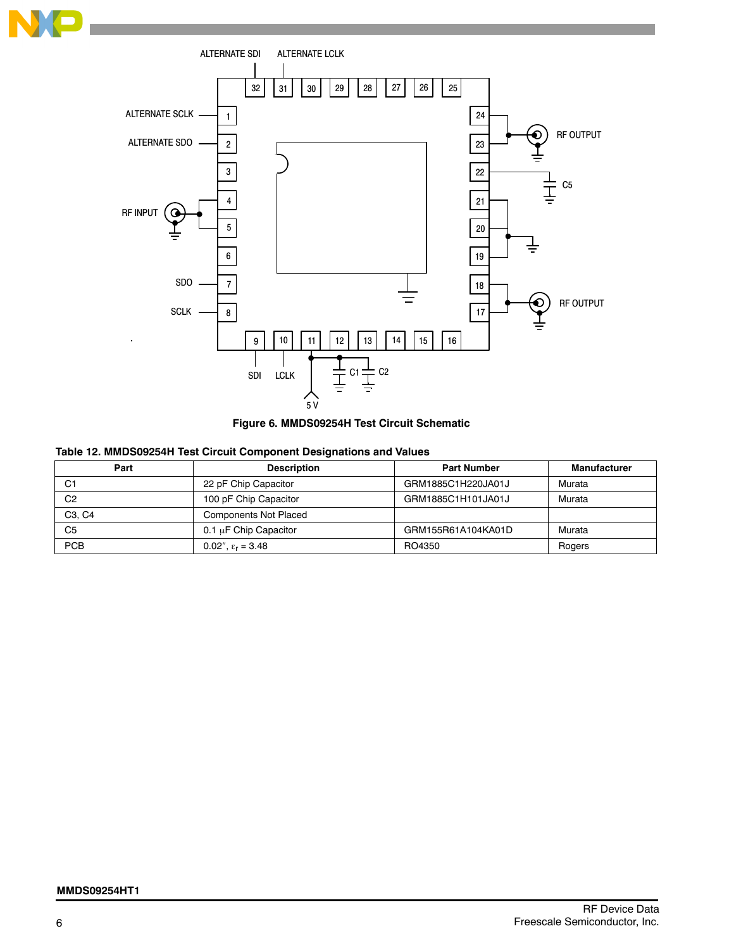





## **Table 12. MMDS09254H Test Circuit Component Designations and Values**

| Part                            | <b>Description</b>           | <b>Part Number</b> | <b>Manufacturer</b> |
|---------------------------------|------------------------------|--------------------|---------------------|
| C1                              | 22 pF Chip Capacitor         | GRM1885C1H220JA01J | Murata              |
| C <sub>2</sub>                  | 100 pF Chip Capacitor        | GRM1885C1H101JA01J | Murata              |
| C <sub>3</sub> . C <sub>4</sub> | <b>Components Not Placed</b> |                    |                     |
| C <sub>5</sub>                  | $0.1 \mu$ F Chip Capacitor   | GRM155R61A104KA01D | Murata              |
| PCB                             | 0.02", $\epsilon_r = 3.48$   | RO4350             | Rogers              |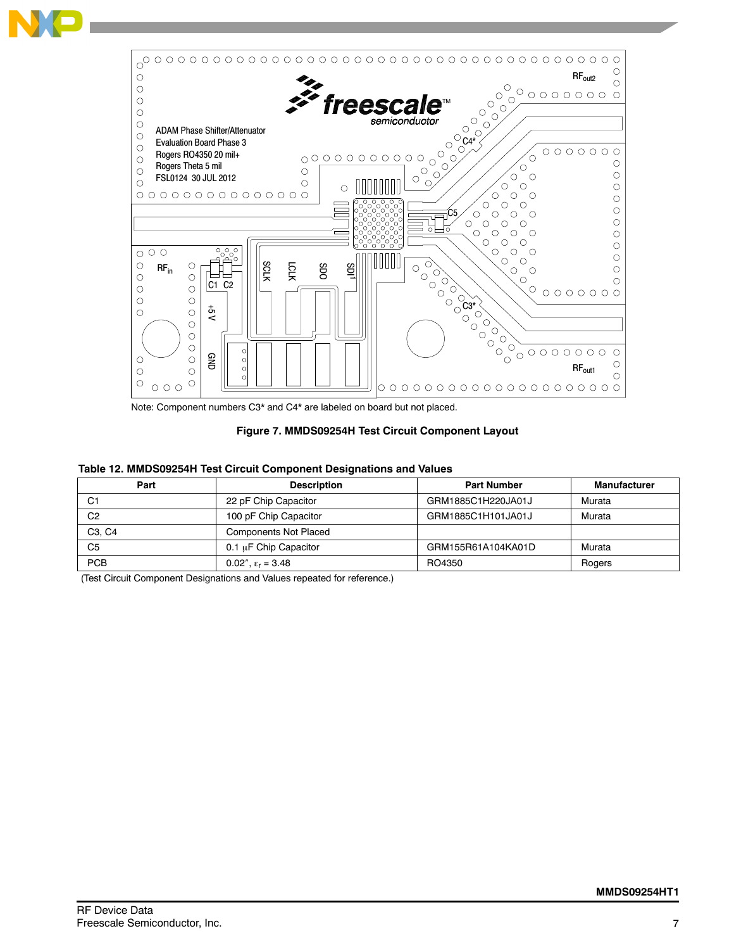

Note: Component numbers C3\* and C4\* are labeled on board but not placed.

## **Figure 7. MMDS09254H Test Circuit Component Layout**

#### **Table 12. MMDS09254H Test Circuit Component Designations and Values**

| Part                            | <b>Description</b>           | <b>Part Number</b> | <b>Manufacturer</b> |
|---------------------------------|------------------------------|--------------------|---------------------|
| С1                              | 22 pF Chip Capacitor         | GRM1885C1H220JA01J | Murata              |
| C <sub>2</sub>                  | 100 pF Chip Capacitor        | GRM1885C1H101JA01J | Murata              |
| C <sub>3</sub> . C <sub>4</sub> | <b>Components Not Placed</b> |                    |                     |
| C5                              | $0.1 \mu$ F Chip Capacitor   | GRM155R61A104KA01D | Murata              |
| <b>PCB</b>                      | 0.02", $\epsilon_{r}$ = 3.48 | RO4350             | Rogers              |

(Test Circuit Component Designations and Values repeated for reference.)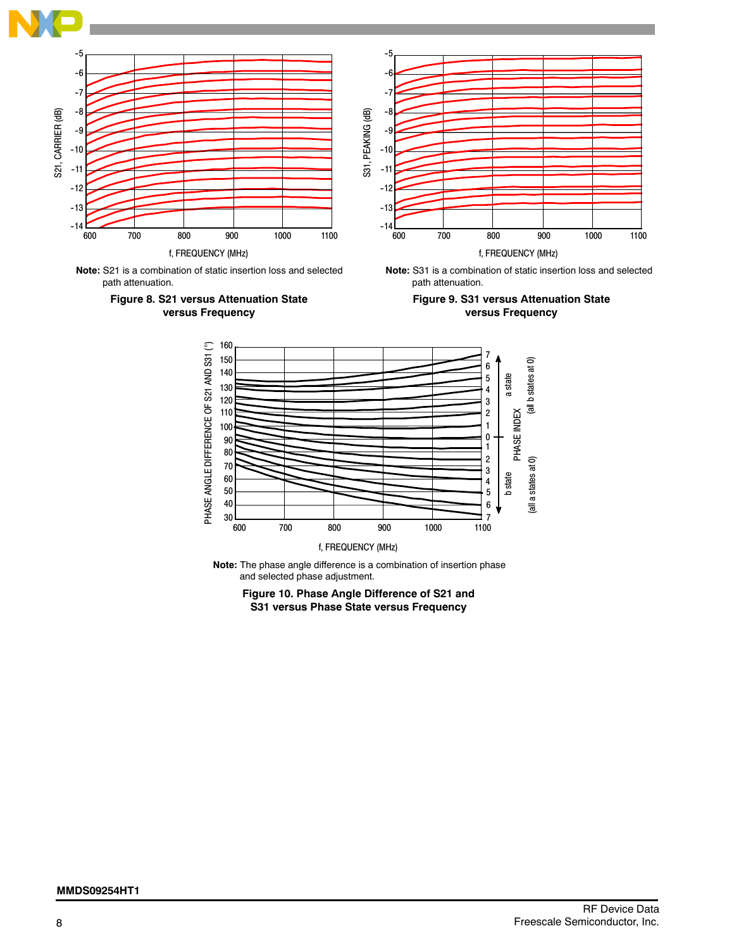









path attenuation.



**Note:** The phase angle difference is a combination of insertion phase and selected phase adjustment.

**Figure 10. Phase Angle Difference of S21 and S31 versus Phase State versus Frequency**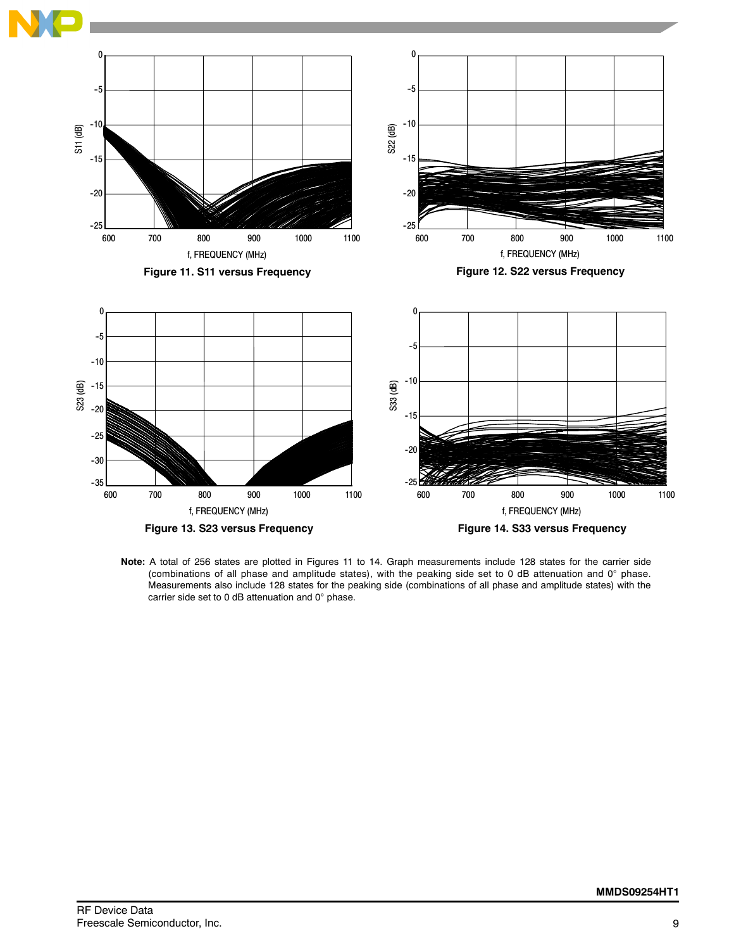

**Note:** A total of 256 states are plotted in Figures 11 to 14. Graph measurements include 128 states for the carrier side (combinations of all phase and amplitude states), with the peaking side set to 0 dB attenuation and  $0^\circ$  phase. Measurements also include 128 states for the peaking side (combinations of all phase and amplitude states) with the carrier side set to 0 dB attenuation and  $0^\circ$  phase.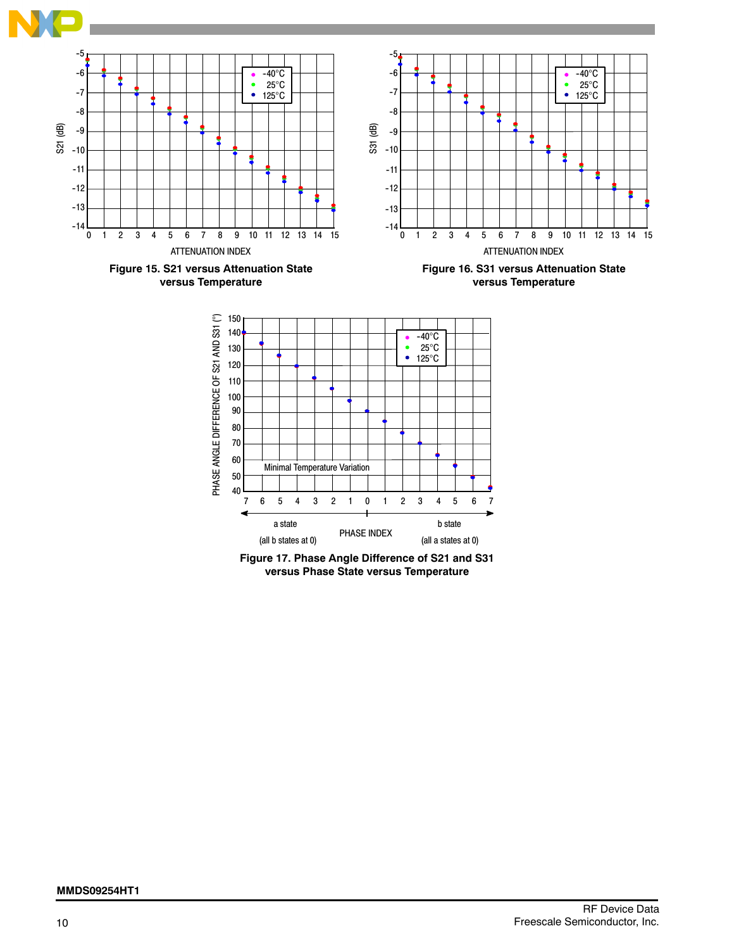

**Figure 17. Phase Angle Difference of S21 and S31**

**versus Phase State versus Temperature**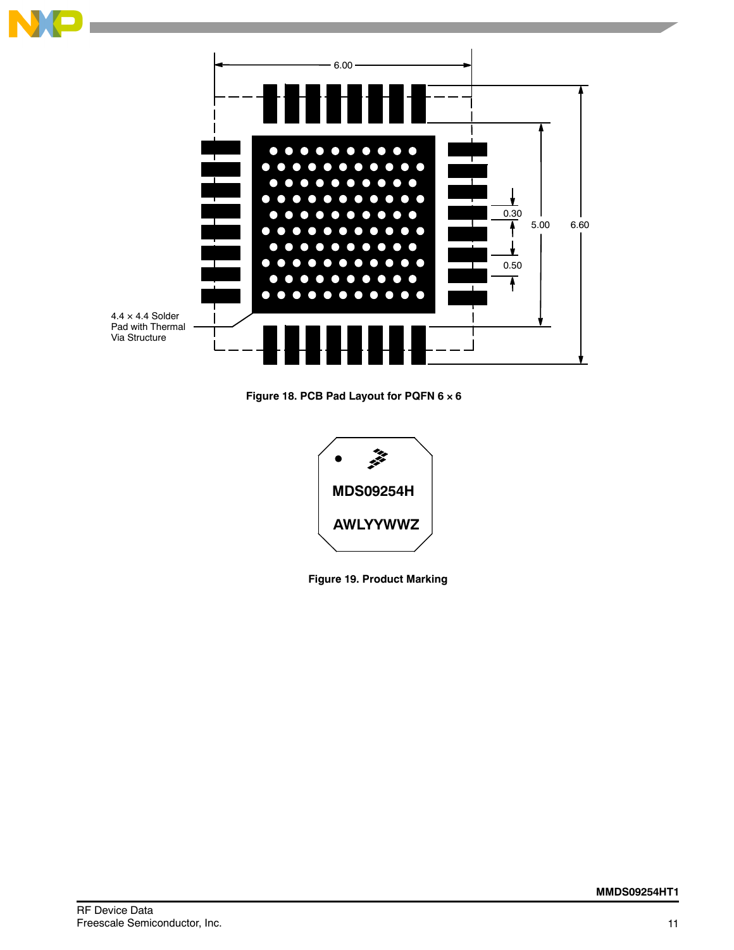

**Figure 18. PCB Pad Layout for PQFN 6 6**



**Figure 19. Product Marking**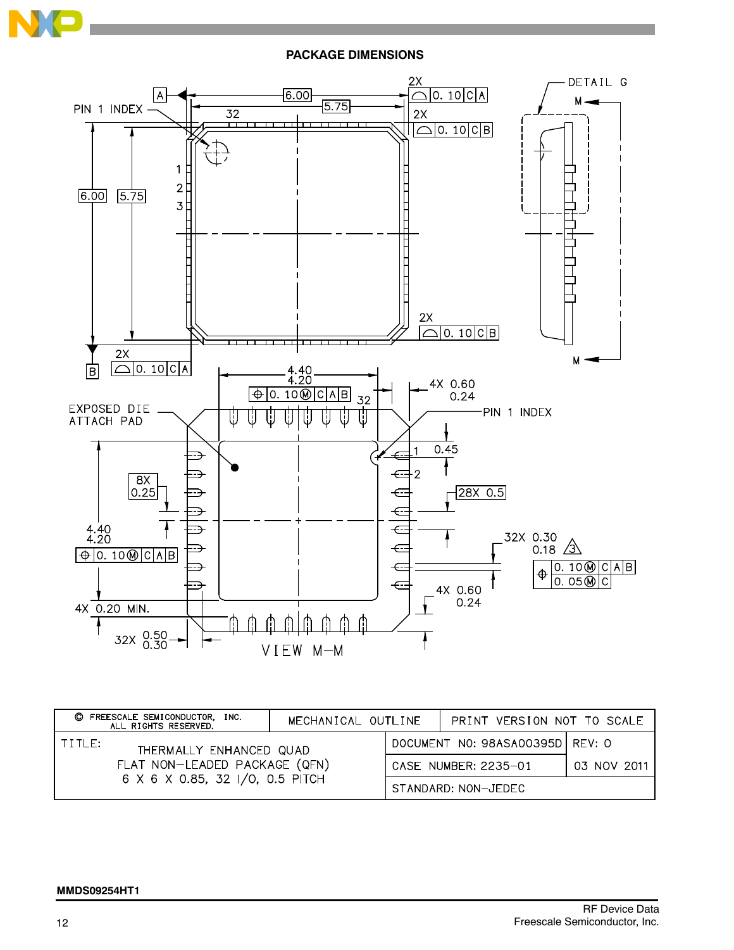

**PACKAGE DIMENSIONS**



| FREESCALE SEMICONDUCTOR, INC.<br>O<br>ALL RIGHTS RESERVED.                                            | MECHANICAL OUTLINE | PRINT VERSION NOT TO SCALE      |             |
|-------------------------------------------------------------------------------------------------------|--------------------|---------------------------------|-------------|
| TITLE:<br>THERMALLY ENHANCED QUAD<br>FLAT NON-LEADED PACKAGE (QFN)<br>6 X 6 X 0.85, 32 I/O, 0.5 PITCH |                    | DOCUMENT NO: 98ASA00395D REV: 0 |             |
|                                                                                                       |                    | CASE NUMBER: 2235-01            | 03 NOV 2011 |
|                                                                                                       |                    | STANDARD: NON-JEDEC             |             |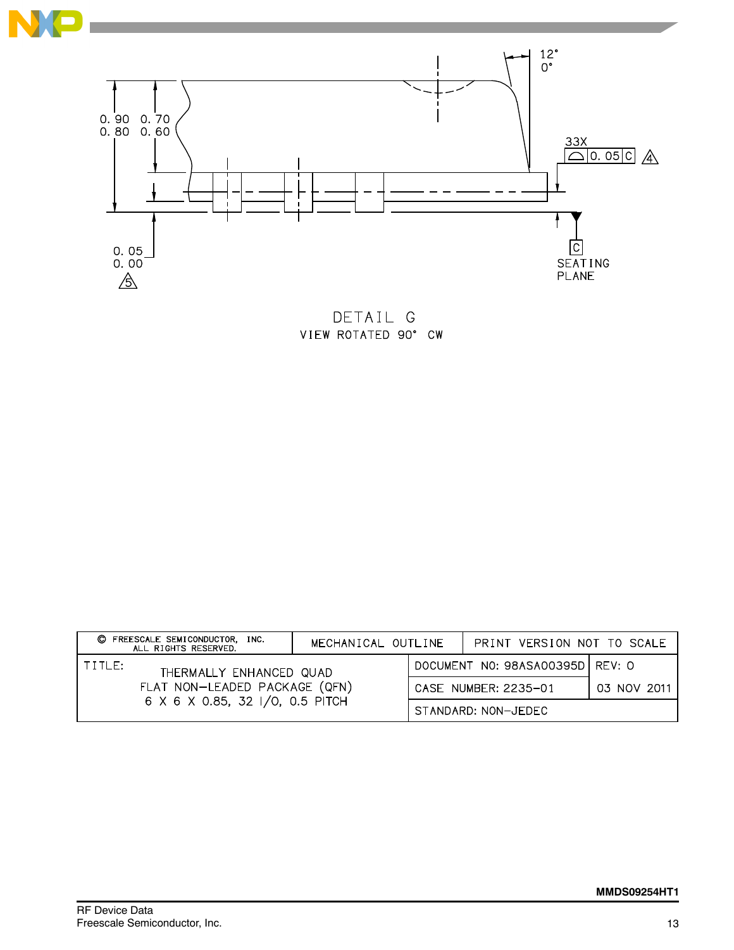



DETAIL G VIEW ROTATED 90° CW

|                                                                                                       | C FREESCALE SEMICONDUCTOR,<br>INC.<br>ALL RIGHTS RESERVED. | MECHANICAL OUTLINE                | PRINT VERSION NOT TO SCALE |  |
|-------------------------------------------------------------------------------------------------------|------------------------------------------------------------|-----------------------------------|----------------------------|--|
| TITLE:<br>THERMALLY ENHANCED QUAD<br>FLAT NON-LEADED PACKAGE (QFN)<br>6 X 6 X 0.85, 32 I/O, 0.5 PITCH |                                                            | DOCUMENT NO: 98ASA00395D   REV: 0 |                            |  |
|                                                                                                       |                                                            | CASE NUMBER: 2235-01              | 03 NOV 2011                |  |
|                                                                                                       |                                                            |                                   | STANDARD: NON-JEDEC        |  |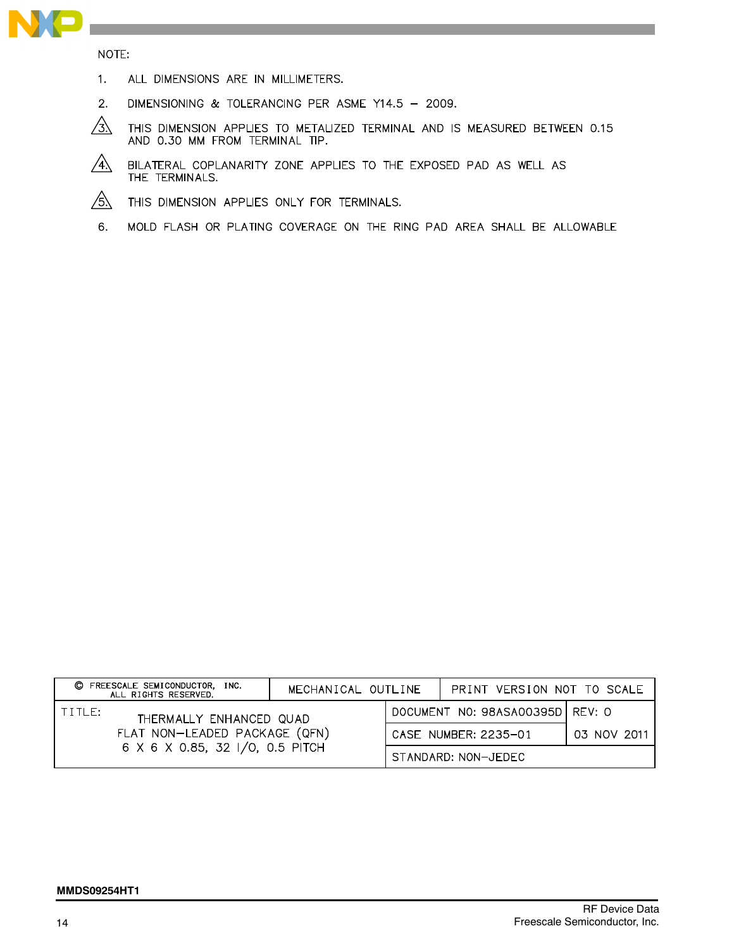

NOTE:

- $1.$ ALL DIMENSIONS ARE IN MILLIMETERS.
- $2.$ DIMENSIONING & TOLERANCING PER ASME Y14.5 - 2009.
- $\sqrt{3}$ THIS DIMENSION APPLIES TO METALIZED TERMINAL AND IS MEASURED BETWEEN 0.15 AND 0.30 MM FROM TERMINAL TIP.
- $\sqrt{4}$ BILATERAL COPLANARITY ZONE APPLIES TO THE EXPOSED PAD AS WELL AS THE TERMINALS.
- $/5\lambda$ THIS DIMENSION APPLIES ONLY FOR TERMINALS.
- 6. MOLD FLASH OR PLATING COVERAGE ON THE RING PAD AREA SHALL BE ALLOWABLE

|                                                                                                         | C FREESCALE SEMICONDUCTOR,<br>INC.<br>ALL RIGHTS RESERVED. | MECHANICAL OUTLINE   |                                 | PRINT VERSION NOT TO SCALE |  |
|---------------------------------------------------------------------------------------------------------|------------------------------------------------------------|----------------------|---------------------------------|----------------------------|--|
| I TITLE:<br>THERMALLY ENHANCED QUAD<br>FLAT NON-LEADED PACKAGE (QFN)<br>6 X 6 X 0.85, 32 I/O, 0.5 PITCH |                                                            |                      | DOCUMENT NO: 98ASA00395D REV: 0 |                            |  |
|                                                                                                         |                                                            | CASE NUMBER: 2235-01 |                                 | 03 NOV 2011                |  |
|                                                                                                         |                                                            |                      |                                 | STANDARD: NON-JEDEC        |  |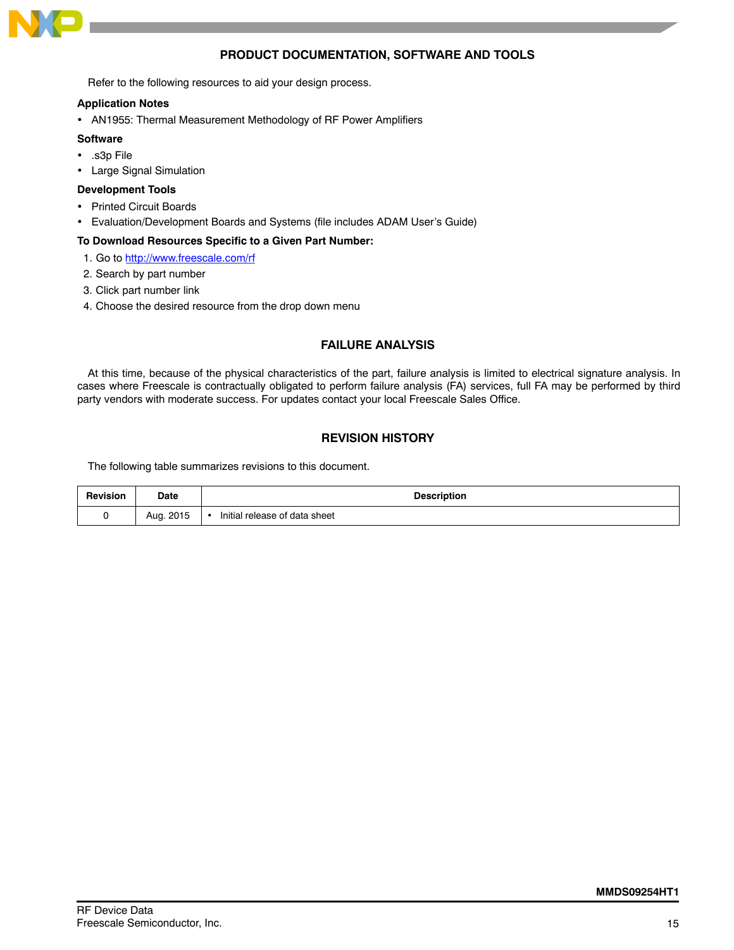

## **PRODUCT DOCUMENTATION, SOFTWARE AND TOOLS**

Refer to the following resources to aid your design process.

#### **Application Notes**

AN1955: Thermal Measurement Methodology of RF Power Amplifiers

#### **Software**

- .s3p File
- Large Signal Simulation

#### **Development Tools**

- Printed Circuit Boards
- Evaluation/Development Boards and Systems (file includes ADAM User's Guide)

#### **To Download Resources Specific to a Given Part Number:**

- 1. Go to http://www.freescale.com/rf
- 2. Search by part number
- 3. Click part number link
- 4. Choose the desired resource from the drop down menu

## **FAILURE ANALYSIS**

At this time, because of the physical characteristics of the part, failure analysis is limited to electrical signature analysis. In cases where Freescale is contractually obligated to perform failure analysis (FA) services, full FA may be performed by third party vendors with moderate success. For updates contact your local Freescale Sales Office.

## **REVISION HISTORY**

The following table summarizes revisions to this document.

| Revision | Date<br>_____ | <b>Description</b>            |  |
|----------|---------------|-------------------------------|--|
|          | Aug. 2015     | Initial release of data sheet |  |